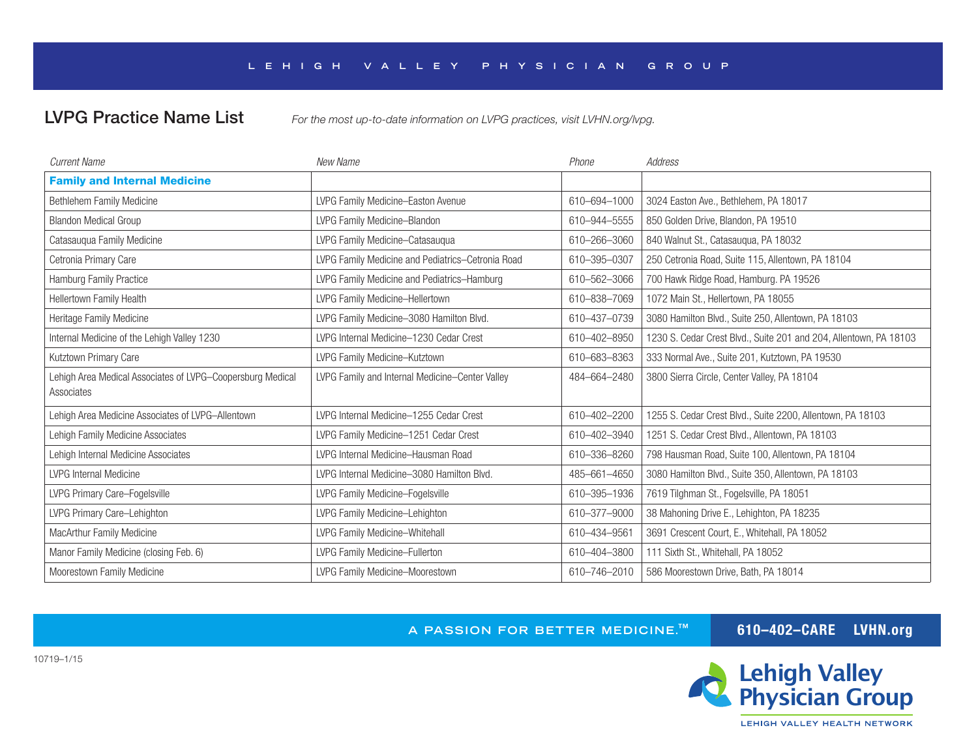## **LEH IGH VALLEY PHYS IC IAN GROUP**

LVPG Practice Name List *For the most up-to-date information on LVPG practices, visit LVHN.org/lvpg.*

| <b>Current Name</b>                                                      | New Name                                          | Phone        | <b>Address</b>                                                    |
|--------------------------------------------------------------------------|---------------------------------------------------|--------------|-------------------------------------------------------------------|
| <b>Family and Internal Medicine</b>                                      |                                                   |              |                                                                   |
| Bethlehem Family Medicine                                                | LVPG Family Medicine-Easton Avenue                | 610-694-1000 | 3024 Easton Ave., Bethlehem, PA 18017                             |
| <b>Blandon Medical Group</b>                                             | LVPG Family Medicine-Blandon                      | 610-944-5555 | 850 Golden Drive, Blandon, PA 19510                               |
| Catasauqua Family Medicine                                               | LVPG Family Medicine-Catasaugua                   | 610-266-3060 | 840 Walnut St., Catasauqua, PA 18032                              |
| Cetronia Primary Care                                                    | LVPG Family Medicine and Pediatrics-Cetronia Road | 610-395-0307 | 250 Cetronia Road, Suite 115, Allentown, PA 18104                 |
| <b>Hamburg Family Practice</b>                                           | LVPG Family Medicine and Pediatrics-Hamburg       | 610-562-3066 | 700 Hawk Ridge Road, Hamburg. PA 19526                            |
| Hellertown Family Health                                                 | LVPG Family Medicine-Hellertown                   | 610-838-7069 | 1072 Main St., Hellertown, PA 18055                               |
| Heritage Family Medicine                                                 | LVPG Family Medicine-3080 Hamilton Blvd.          | 610-437-0739 | 3080 Hamilton Blvd., Suite 250, Allentown, PA 18103               |
| Internal Medicine of the Lehigh Valley 1230                              | LVPG Internal Medicine-1230 Cedar Crest           | 610-402-8950 | 1230 S. Cedar Crest Blvd., Suite 201 and 204, Allentown, PA 18103 |
| Kutztown Primary Care                                                    | LVPG Family Medicine-Kutztown                     | 610-683-8363 | 333 Normal Ave., Suite 201, Kutztown, PA 19530                    |
| Lehigh Area Medical Associates of LVPG-Coopersburg Medical<br>Associates | LVPG Family and Internal Medicine-Center Valley   | 484-664-2480 | 3800 Sierra Circle, Center Valley, PA 18104                       |
| Lehigh Area Medicine Associates of LVPG-Allentown                        | LVPG Internal Medicine-1255 Cedar Crest           | 610-402-2200 | 1255 S. Cedar Crest Blvd., Suite 2200, Allentown, PA 18103        |
| Lehigh Family Medicine Associates                                        | LVPG Family Medicine-1251 Cedar Crest             | 610-402-3940 | 1251 S. Cedar Crest Blvd., Allentown, PA 18103                    |
| Lehigh Internal Medicine Associates                                      | LVPG Internal Medicine-Hausman Road               | 610-336-8260 | 798 Hausman Road, Suite 100, Allentown, PA 18104                  |
| <b>LVPG Internal Medicine</b>                                            | LVPG Internal Medicine-3080 Hamilton Blvd.        | 485-661-4650 | 3080 Hamilton Blvd., Suite 350, Allentown, PA 18103               |
| LVPG Primary Care-Fogelsville                                            | LVPG Family Medicine-Fogelsville                  | 610-395-1936 | 7619 Tilghman St., Fogelsville, PA 18051                          |
| LVPG Primary Care-Lehighton                                              | LVPG Family Medicine-Lehighton                    | 610-377-9000 | 38 Mahoning Drive E., Lehighton, PA 18235                         |
| MacArthur Family Medicine                                                | LVPG Family Medicine-Whitehall                    | 610-434-9561 | 3691 Crescent Court, E., Whitehall, PA 18052                      |
| Manor Family Medicine (closing Feb. 6)                                   | LVPG Family Medicine-Fullerton                    | 610-404-3800 | 111 Sixth St., Whitehall, PA 18052                                |
| Moorestown Family Medicine                                               | LVPG Family Medicine-Moorestown                   | 610-746-2010 | 586 Moorestown Drive, Bath, PA 18014                              |

**A PASSION FOR BETTER MEDICINE.™ 610–402–CARE LVHN.org** 

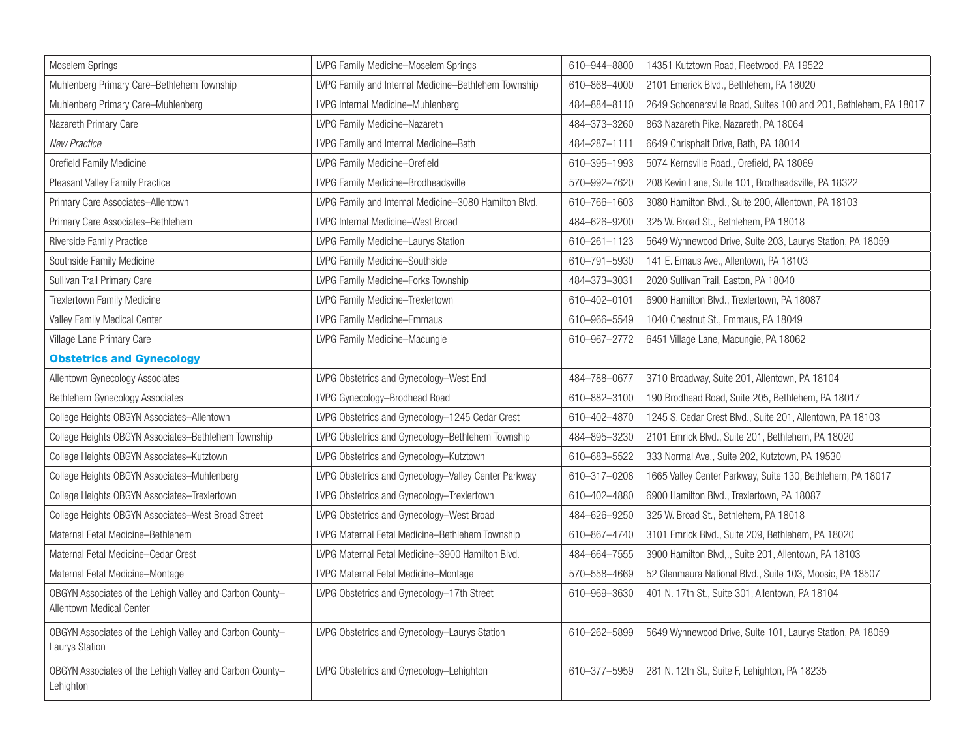| Moselem Springs                                                                             | LVPG Family Medicine-Moselem Springs                  | 610-944-8800 | 14351 Kutztown Road, Fleetwood, PA 19522                          |
|---------------------------------------------------------------------------------------------|-------------------------------------------------------|--------------|-------------------------------------------------------------------|
| Muhlenberg Primary Care-Bethlehem Township                                                  | LVPG Family and Internal Medicine-Bethlehem Township  | 610-868-4000 | 2101 Emerick Blvd., Bethlehem, PA 18020                           |
| Muhlenberg Primary Care-Muhlenberg                                                          | LVPG Internal Medicine-Muhlenberg                     | 484-884-8110 | 2649 Schoenersville Road, Suites 100 and 201, Bethlehem, PA 18017 |
| Nazareth Primary Care                                                                       | LVPG Family Medicine-Nazareth                         | 484-373-3260 | 863 Nazareth Pike, Nazareth, PA 18064                             |
| <b>New Practice</b>                                                                         | LVPG Family and Internal Medicine-Bath                | 484-287-1111 | 6649 Chrisphalt Drive, Bath, PA 18014                             |
| Orefield Family Medicine                                                                    | LVPG Family Medicine-Orefield                         | 610-395-1993 | 5074 Kernsville Road., Orefield, PA 18069                         |
| Pleasant Valley Family Practice                                                             | LVPG Family Medicine-Brodheadsville                   | 570-992-7620 | 208 Kevin Lane, Suite 101, Brodheadsville, PA 18322               |
| Primary Care Associates-Allentown                                                           | LVPG Family and Internal Medicine-3080 Hamilton Blvd. | 610-766-1603 | 3080 Hamilton Blvd., Suite 200, Allentown, PA 18103               |
| Primary Care Associates-Bethlehem                                                           | LVPG Internal Medicine-West Broad                     | 484-626-9200 | 325 W. Broad St., Bethlehem, PA 18018                             |
| Riverside Family Practice                                                                   | LVPG Family Medicine-Laurys Station                   | 610-261-1123 | 5649 Wynnewood Drive, Suite 203, Laurys Station, PA 18059         |
| Southside Family Medicine                                                                   | LVPG Family Medicine-Southside                        | 610-791-5930 | 141 E. Emaus Ave., Allentown, PA 18103                            |
| Sullivan Trail Primary Care                                                                 | LVPG Family Medicine-Forks Township                   | 484-373-3031 | 2020 Sullivan Trail, Easton, PA 18040                             |
| Trexlertown Family Medicine                                                                 | LVPG Family Medicine-Trexlertown                      | 610-402-0101 | 6900 Hamilton Blvd., Trexlertown, PA 18087                        |
| Valley Family Medical Center                                                                | LVPG Family Medicine-Emmaus                           | 610-966-5549 | 1040 Chestnut St., Emmaus, PA 18049                               |
| Village Lane Primary Care                                                                   | LVPG Family Medicine-Macungie                         | 610-967-2772 | 6451 Village Lane, Macungie, PA 18062                             |
| <b>Obstetrics and Gynecology</b>                                                            |                                                       |              |                                                                   |
| Allentown Gynecology Associates                                                             | LVPG Obstetrics and Gynecology-West End               | 484-788-0677 | 3710 Broadway, Suite 201, Allentown, PA 18104                     |
| Bethlehem Gynecology Associates                                                             | LVPG Gynecology-Brodhead Road                         | 610-882-3100 | 190 Brodhead Road, Suite 205, Bethlehem, PA 18017                 |
| College Heights OBGYN Associates-Allentown                                                  | LVPG Obstetrics and Gynecology-1245 Cedar Crest       | 610-402-4870 | 1245 S. Cedar Crest Blvd., Suite 201, Allentown, PA 18103         |
| College Heights OBGYN Associates-Bethlehem Township                                         | LVPG Obstetrics and Gynecology-Bethlehem Township     | 484-895-3230 | 2101 Emrick Blvd., Suite 201, Bethlehem, PA 18020                 |
| College Heights OBGYN Associates-Kutztown                                                   | LVPG Obstetrics and Gynecology-Kutztown               | 610-683-5522 | 333 Normal Ave., Suite 202, Kutztown, PA 19530                    |
| College Heights OBGYN Associates-Muhlenberg                                                 | LVPG Obstetrics and Gynecology-Valley Center Parkway  | 610-317-0208 | 1665 Valley Center Parkway, Suite 130, Bethlehem, PA 18017        |
| College Heights OBGYN Associates-Trexlertown                                                | LVPG Obstetrics and Gynecology-Trexlertown            | 610-402-4880 | 6900 Hamilton Blvd., Trexlertown, PA 18087                        |
| College Heights OBGYN Associates-West Broad Street                                          | LVPG Obstetrics and Gynecology-West Broad             | 484-626-9250 | 325 W. Broad St., Bethlehem, PA 18018                             |
| Maternal Fetal Medicine-Bethlehem                                                           | LVPG Maternal Fetal Medicine-Bethlehem Township       | 610-867-4740 | 3101 Emrick Blvd., Suite 209, Bethlehem, PA 18020                 |
| Maternal Fetal Medicine-Cedar Crest                                                         | LVPG Maternal Fetal Medicine-3900 Hamilton Blvd.      | 484-664-7555 | 3900 Hamilton Blvd,., Suite 201, Allentown, PA 18103              |
| Maternal Fetal Medicine-Montage                                                             | LVPG Maternal Fetal Medicine-Montage                  | 570-558-4669 | 52 Glenmaura National Blvd., Suite 103, Moosic, PA 18507          |
| OBGYN Associates of the Lehigh Valley and Carbon County-<br><b>Allentown Medical Center</b> | LVPG Obstetrics and Gynecology-17th Street            | 610-969-3630 | 401 N. 17th St., Suite 301, Allentown, PA 18104                   |
| OBGYN Associates of the Lehigh Valley and Carbon County-<br>Laurys Station                  | LVPG Obstetrics and Gynecology-Laurys Station         | 610-262-5899 | 5649 Wynnewood Drive, Suite 101, Laurys Station, PA 18059         |
| OBGYN Associates of the Lehigh Valley and Carbon County-<br>Lehighton                       | LVPG Obstetrics and Gynecology-Lehighton              | 610-377-5959 | 281 N. 12th St., Suite F, Lehighton, PA 18235                     |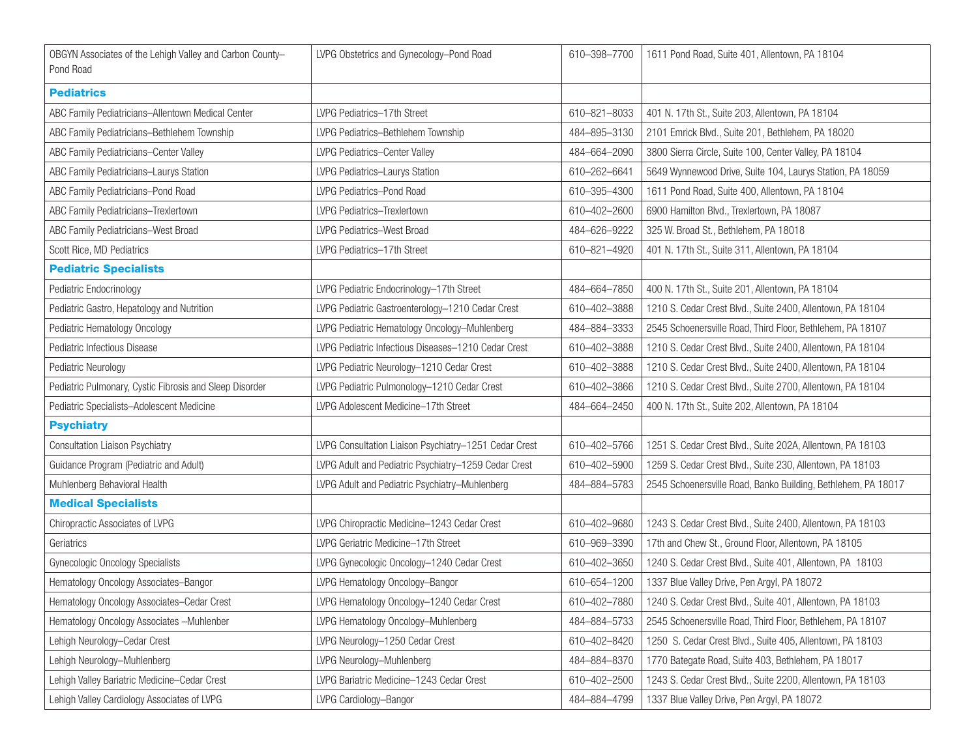| OBGYN Associates of the Lehigh Valley and Carbon County-<br>Pond Road | LVPG Obstetrics and Gynecology-Pond Road              | 610-398-7700 | 1611 Pond Road, Suite 401, Allentown, PA 18104                |
|-----------------------------------------------------------------------|-------------------------------------------------------|--------------|---------------------------------------------------------------|
| <b>Pediatrics</b>                                                     |                                                       |              |                                                               |
| ABC Family Pediatricians-Allentown Medical Center                     | LVPG Pediatrics-17th Street                           | 610-821-8033 | 401 N. 17th St., Suite 203, Allentown, PA 18104               |
| ABC Family Pediatricians-Bethlehem Township                           | LVPG Pediatrics-Bethlehem Township                    | 484-895-3130 | 2101 Emrick Blvd., Suite 201, Bethlehem, PA 18020             |
| ABC Family Pediatricians-Center Valley                                | LVPG Pediatrics-Center Valley                         | 484-664-2090 | 3800 Sierra Circle, Suite 100, Center Valley, PA 18104        |
| ABC Family Pediatricians-Laurys Station                               | LVPG Pediatrics-Laurys Station                        | 610-262-6641 | 5649 Wynnewood Drive, Suite 104, Laurys Station, PA 18059     |
| ABC Family Pediatricians-Pond Road                                    | LVPG Pediatrics-Pond Road                             | 610-395-4300 | 1611 Pond Road, Suite 400, Allentown, PA 18104                |
| ABC Family Pediatricians-Trexlertown                                  | LVPG Pediatrics-Trexlertown                           | 610-402-2600 | 6900 Hamilton Blvd., Trexlertown, PA 18087                    |
| ABC Family Pediatricians-West Broad                                   | LVPG Pediatrics-West Broad                            | 484-626-9222 | 325 W. Broad St., Bethlehem, PA 18018                         |
| Scott Rice, MD Pediatrics                                             | LVPG Pediatrics-17th Street                           | 610-821-4920 | 401 N. 17th St., Suite 311, Allentown, PA 18104               |
| <b>Pediatric Specialists</b>                                          |                                                       |              |                                                               |
| Pediatric Endocrinology                                               | LVPG Pediatric Endocrinology-17th Street              | 484-664-7850 | 400 N. 17th St., Suite 201, Allentown, PA 18104               |
| Pediatric Gastro, Hepatology and Nutrition                            | LVPG Pediatric Gastroenterology-1210 Cedar Crest      | 610-402-3888 | 1210 S. Cedar Crest Blvd., Suite 2400, Allentown, PA 18104    |
| Pediatric Hematology Oncology                                         | LVPG Pediatric Hematology Oncology-Muhlenberg         | 484-884-3333 | 2545 Schoenersville Road, Third Floor, Bethlehem, PA 18107    |
| Pediatric Infectious Disease                                          | LVPG Pediatric Infectious Diseases-1210 Cedar Crest   | 610-402-3888 | 1210 S. Cedar Crest Blvd., Suite 2400, Allentown, PA 18104    |
| Pediatric Neurology                                                   | LVPG Pediatric Neurology-1210 Cedar Crest             | 610-402-3888 | 1210 S. Cedar Crest Blvd., Suite 2400, Allentown, PA 18104    |
| Pediatric Pulmonary, Cystic Fibrosis and Sleep Disorder               | LVPG Pediatric Pulmonology-1210 Cedar Crest           | 610-402-3866 | 1210 S. Cedar Crest Blvd., Suite 2700, Allentown, PA 18104    |
| Pediatric Specialists-Adolescent Medicine                             | LVPG Adolescent Medicine-17th Street                  | 484-664-2450 | 400 N. 17th St., Suite 202, Allentown, PA 18104               |
| <b>Psychiatry</b>                                                     |                                                       |              |                                                               |
| <b>Consultation Liaison Psychiatry</b>                                | LVPG Consultation Liaison Psychiatry-1251 Cedar Crest | 610-402-5766 | 1251 S. Cedar Crest Blvd., Suite 202A, Allentown, PA 18103    |
| Guidance Program (Pediatric and Adult)                                | LVPG Adult and Pediatric Psychiatry-1259 Cedar Crest  | 610-402-5900 | 1259 S. Cedar Crest Blvd., Suite 230, Allentown, PA 18103     |
| Muhlenberg Behavioral Health                                          | LVPG Adult and Pediatric Psychiatry-Muhlenberg        | 484-884-5783 | 2545 Schoenersville Road, Banko Building, Bethlehem, PA 18017 |
| <b>Medical Specialists</b>                                            |                                                       |              |                                                               |
| Chiropractic Associates of LVPG                                       | LVPG Chiropractic Medicine-1243 Cedar Crest           | 610-402-9680 | 1243 S. Cedar Crest Blvd., Suite 2400, Allentown, PA 18103    |
| Geriatrics                                                            | LVPG Geriatric Medicine-17th Street                   | 610-969-3390 | 17th and Chew St., Ground Floor, Allentown, PA 18105          |
| Gynecologic Oncology Specialists                                      | LVPG Gynecologic Oncology-1240 Cedar Crest            | 610-402-3650 | 1240 S. Cedar Crest Blvd., Suite 401, Allentown, PA 18103     |
| Hematology Oncology Associates-Bangor                                 | LVPG Hematology Oncology-Bangor                       | 610-654-1200 | 1337 Blue Valley Drive, Pen Argyl, PA 18072                   |
| Hematology Oncology Associates-Cedar Crest                            | LVPG Hematology Oncology-1240 Cedar Crest             | 610-402-7880 | 1240 S. Cedar Crest Blvd., Suite 401, Allentown, PA 18103     |
| Hematology Oncology Associates -Muhlenber                             | LVPG Hematology Oncology-Muhlenberg                   | 484-884-5733 | 2545 Schoenersville Road, Third Floor, Bethlehem, PA 18107    |
| Lehigh Neurology-Cedar Crest                                          | LVPG Neurology-1250 Cedar Crest                       | 610-402-8420 | 1250 S. Cedar Crest Blvd., Suite 405, Allentown, PA 18103     |
| Lehigh Neurology-Muhlenberg                                           | LVPG Neurology-Muhlenberg                             | 484-884-8370 | 1770 Bategate Road, Suite 403, Bethlehem, PA 18017            |
| Lehigh Valley Bariatric Medicine-Cedar Crest                          | LVPG Bariatric Medicine-1243 Cedar Crest              | 610-402-2500 | 1243 S. Cedar Crest Blvd., Suite 2200, Allentown, PA 18103    |
| Lehigh Valley Cardiology Associates of LVPG                           | LVPG Cardiology-Bangor                                | 484-884-4799 | 1337 Blue Valley Drive, Pen Argyl, PA 18072                   |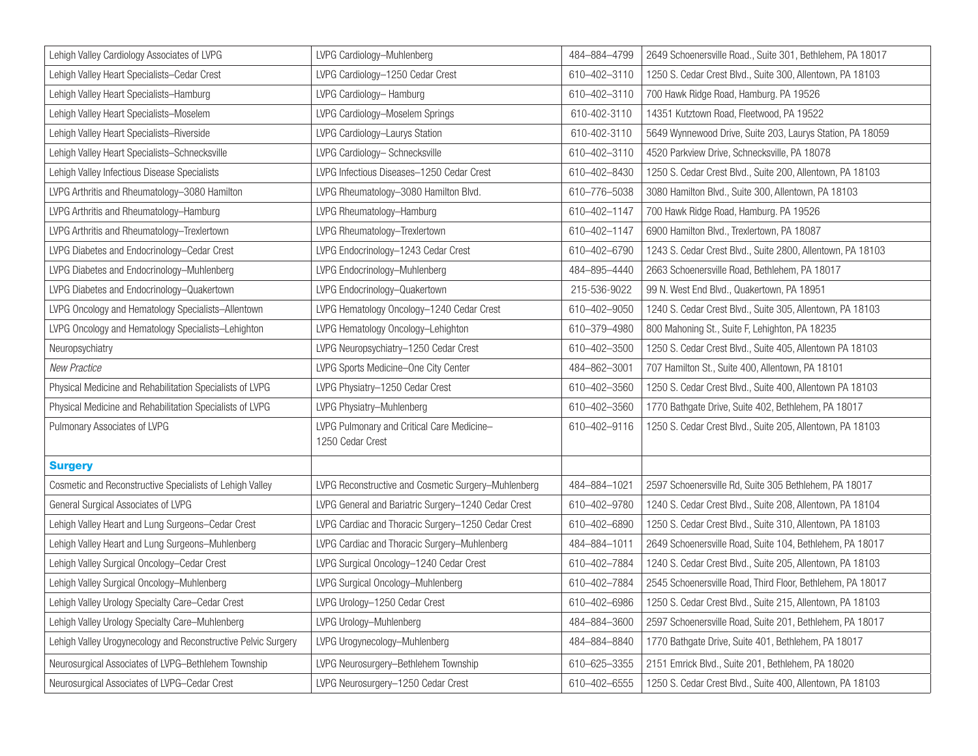| Lehigh Valley Cardiology Associates of LVPG                   | LVPG Cardiology-Muhlenberg                                     | 484-884-4799 | 2649 Schoenersville Road., Suite 301, Bethlehem, PA 18017  |
|---------------------------------------------------------------|----------------------------------------------------------------|--------------|------------------------------------------------------------|
| Lehigh Valley Heart Specialists-Cedar Crest                   | LVPG Cardiology-1250 Cedar Crest                               | 610-402-3110 | 1250 S. Cedar Crest Blvd., Suite 300, Allentown, PA 18103  |
| Lehigh Valley Heart Specialists-Hamburg                       | LVPG Cardiology-Hamburg                                        | 610-402-3110 | 700 Hawk Ridge Road, Hamburg. PA 19526                     |
| Lehigh Valley Heart Specialists-Moselem                       | LVPG Cardiology-Moselem Springs                                | 610-402-3110 | 14351 Kutztown Road, Fleetwood, PA 19522                   |
| Lehigh Valley Heart Specialists-Riverside                     | LVPG Cardiology-Laurys Station                                 | 610-402-3110 | 5649 Wynnewood Drive, Suite 203, Laurys Station, PA 18059  |
| Lehigh Valley Heart Specialists-Schnecksville                 | LVPG Cardiology-Schnecksville                                  | 610-402-3110 | 4520 Parkview Drive, Schnecksville, PA 18078               |
| Lehigh Valley Infectious Disease Specialists                  | LVPG Infectious Diseases-1250 Cedar Crest                      | 610-402-8430 | 1250 S. Cedar Crest Blvd., Suite 200, Allentown, PA 18103  |
| LVPG Arthritis and Rheumatology-3080 Hamilton                 | LVPG Rheumatology-3080 Hamilton Blvd.                          | 610-776-5038 | 3080 Hamilton Blvd., Suite 300, Allentown, PA 18103        |
| LVPG Arthritis and Rheumatology-Hamburg                       | LVPG Rheumatology-Hamburg                                      | 610-402-1147 | 700 Hawk Ridge Road, Hamburg. PA 19526                     |
| LVPG Arthritis and Rheumatology-Trexlertown                   | LVPG Rheumatology-Trexlertown                                  | 610-402-1147 | 6900 Hamilton Blvd., Trexlertown, PA 18087                 |
| LVPG Diabetes and Endocrinology-Cedar Crest                   | LVPG Endocrinology-1243 Cedar Crest                            | 610-402-6790 | 1243 S. Cedar Crest Blvd., Suite 2800, Allentown, PA 18103 |
| LVPG Diabetes and Endocrinology-Muhlenberg                    | LVPG Endocrinology-Muhlenberg                                  | 484-895-4440 | 2663 Schoenersville Road, Bethlehem, PA 18017              |
| LVPG Diabetes and Endocrinology-Quakertown                    | LVPG Endocrinology-Quakertown                                  | 215-536-9022 | 99 N. West End Blvd., Quakertown, PA 18951                 |
| LVPG Oncology and Hematology Specialists-Allentown            | LVPG Hematology Oncology-1240 Cedar Crest                      | 610-402-9050 | 1240 S. Cedar Crest Blvd., Suite 305, Allentown, PA 18103  |
| LVPG Oncology and Hematology Specialists-Lehighton            | LVPG Hematology Oncology-Lehighton                             | 610-379-4980 | 800 Mahoning St., Suite F, Lehighton, PA 18235             |
| Neuropsychiatry                                               | LVPG Neuropsychiatry-1250 Cedar Crest                          | 610-402-3500 | 1250 S. Cedar Crest Blvd., Suite 405, Allentown PA 18103   |
| New Practice                                                  | LVPG Sports Medicine-One City Center                           | 484-862-3001 | 707 Hamilton St., Suite 400, Allentown, PA 18101           |
| Physical Medicine and Rehabilitation Specialists of LVPG      | LVPG Physiatry-1250 Cedar Crest                                | 610-402-3560 | 1250 S. Cedar Crest Blvd., Suite 400, Allentown PA 18103   |
| Physical Medicine and Rehabilitation Specialists of LVPG      | LVPG Physiatry-Muhlenberg                                      | 610-402-3560 | 1770 Bathgate Drive, Suite 402, Bethlehem, PA 18017        |
| Pulmonary Associates of LVPG                                  | LVPG Pulmonary and Critical Care Medicine-<br>1250 Cedar Crest | 610-402-9116 | 1250 S. Cedar Crest Blvd., Suite 205, Allentown, PA 18103  |
| <b>Surgery</b>                                                |                                                                |              |                                                            |
| Cosmetic and Reconstructive Specialists of Lehigh Valley      | LVPG Reconstructive and Cosmetic Surgery-Muhlenberg            | 484-884-1021 | 2597 Schoenersville Rd, Suite 305 Bethlehem, PA 18017      |
| General Surgical Associates of LVPG                           | LVPG General and Bariatric Surgery-1240 Cedar Crest            | 610-402-9780 | 1240 S. Cedar Crest Blvd., Suite 208, Allentown, PA 18104  |
| Lehigh Valley Heart and Lung Surgeons-Cedar Crest             | LVPG Cardiac and Thoracic Surgery-1250 Cedar Crest             | 610-402-6890 | 1250 S. Cedar Crest Blvd., Suite 310, Allentown, PA 18103  |
| Lehigh Valley Heart and Lung Surgeons-Muhlenberg              | LVPG Cardiac and Thoracic Surgery-Muhlenberg                   | 484-884-1011 | 2649 Schoenersville Road, Suite 104, Bethlehem, PA 18017   |
| Lehigh Valley Surgical Oncology-Cedar Crest                   | LVPG Surgical Oncology-1240 Cedar Crest                        | 610-402-7884 | 1240 S. Cedar Crest Blvd., Suite 205, Allentown, PA 18103  |
| Lehigh Valley Surgical Oncology-Muhlenberg                    | LVPG Surgical Oncology-Muhlenberg                              | 610-402-7884 | 2545 Schoenersville Road, Third Floor, Bethlehem, PA 18017 |
| Lehigh Valley Urology Specialty Care-Cedar Crest              | LVPG Urology-1250 Cedar Crest                                  | 610-402-6986 | 1250 S. Cedar Crest Blvd., Suite 215, Allentown, PA 18103  |
| Lehigh Valley Urology Specialty Care-Muhlenberg               | LVPG Urology-Muhlenberg                                        | 484-884-3600 | 2597 Schoenersville Road, Suite 201, Bethlehem, PA 18017   |
| Lehigh Valley Urogynecology and Reconstructive Pelvic Surgery | LVPG Urogynecology-Muhlenberg                                  | 484-884-8840 | 1770 Bathgate Drive, Suite 401, Bethlehem, PA 18017        |
| Neurosurgical Associates of LVPG-Bethlehem Township           | LVPG Neurosurgery-Bethlehem Township                           | 610-625-3355 | 2151 Emrick Blvd., Suite 201, Bethlehem, PA 18020          |
| Neurosurgical Associates of LVPG-Cedar Crest                  | LVPG Neurosurgery-1250 Cedar Crest                             | 610-402-6555 | 1250 S. Cedar Crest Blvd., Suite 400, Allentown, PA 18103  |